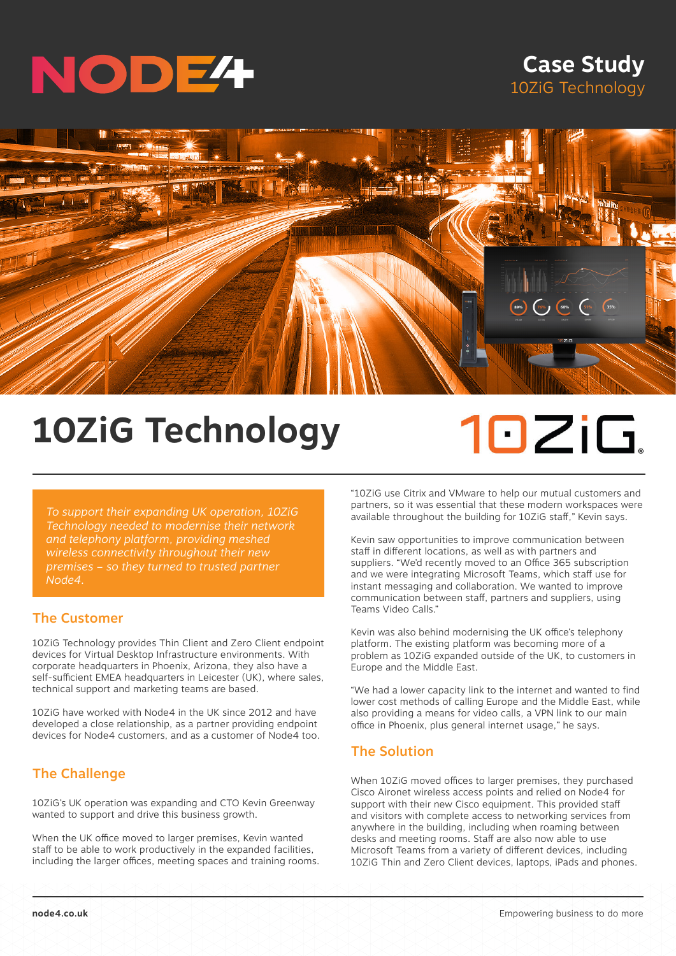

# **Case Study** 10ZiG Technology



# **10ZiG Technology**

# 10ZiG.

*To support their expanding UK operation, 10ZiG Technology needed to modernise their network and telephony platform, providing meshed wireless connectivity throughout their new premises – so they turned to trusted partner Node4.*

# The Customer

10ZiG Technology provides Thin Client and Zero Client endpoint devices for Virtual Desktop Infrastructure environments. With corporate headquarters in Phoenix, Arizona, they also have a self-sufficient EMEA headquarters in Leicester (UK), where sales, technical support and marketing teams are based.

10ZiG have worked with Node4 in the UK since 2012 and have developed a close relationship, as a partner providing endpoint devices for Node4 customers, and as a customer of Node4 too.

# The Challenge

10ZiG's UK operation was expanding and CTO Kevin Greenway wanted to support and drive this business growth.

When the UK office moved to larger premises, Kevin wanted staff to be able to work productively in the expanded facilities, including the larger offices, meeting spaces and training rooms. "10ZiG use Citrix and VMware to help our mutual customers and partners, so it was essential that these modern workspaces were available throughout the building for 10ZiG staff," Kevin says.

Kevin saw opportunities to improve communication between staff in different locations, as well as with partners and suppliers. "We'd recently moved to an Office 365 subscription and we were integrating Microsoft Teams, which staff use for instant messaging and collaboration. We wanted to improve communication between staff, partners and suppliers, using Teams Video Calls."

Kevin was also behind modernising the UK office's telephony platform. The existing platform was becoming more of a problem as 10ZiG expanded outside of the UK, to customers in Europe and the Middle East.

"We had a lower capacity link to the internet and wanted to find lower cost methods of calling Europe and the Middle East, while also providing a means for video calls, a VPN link to our main office in Phoenix, plus general internet usage," he says.

## The Solution

When 10ZiG moved offices to larger premises, they purchased Cisco Aironet wireless access points and relied on Node4 for support with their new Cisco equipment. This provided staff and visitors with complete access to networking services from anywhere in the building, including when roaming between desks and meeting rooms. Staff are also now able to use Microsoft Teams from a variety of different devices, including 10ZiG Thin and Zero Client devices, laptops, iPads and phones.